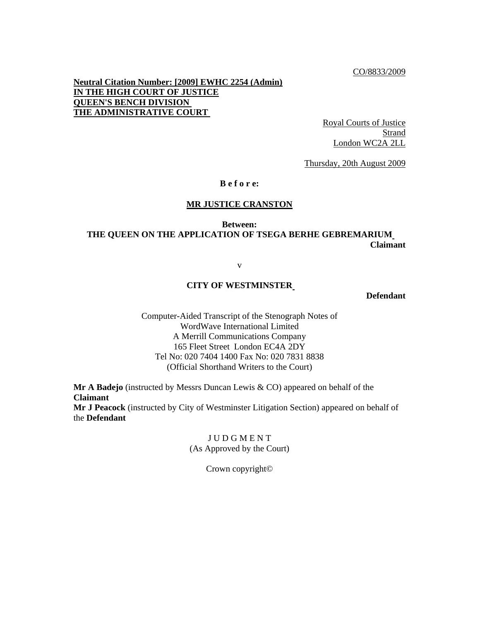CO/8833/2009

**Neutral Citation Number: [2009] EWHC 2254 (Admin) IN THE HIGH COURT OF JUSTICE QUEEN'S BENCH DIVISION THE ADMINISTRATIVE COURT** 

> Royal Courts of Justice **Strand** London WC2A 2LL

Thursday, 20th August 2009

## **B e f o r e:**

## **MR JUSTICE CRANSTON**

## **Between: THE QUEEN ON THE APPLICATION OF TSEGA BERHE GEBREMARIUM Claimant**

v

## **CITY OF WESTMINSTER**

**Defendant**

Computer-Aided Transcript of the Stenograph Notes of WordWave International Limited A Merrill Communications Company 165 Fleet Street London EC4A 2DY Tel No: 020 7404 1400 Fax No: 020 7831 8838 (Official Shorthand Writers to the Court)

**Mr A Badejo** (instructed by Messrs Duncan Lewis & CO) appeared on behalf of the **Claimant Mr J Peacock** (instructed by City of Westminster Litigation Section) appeared on behalf of the **Defendant**

> **J U D G M E N T** (As Approved by the Court)

> > Crown copyright©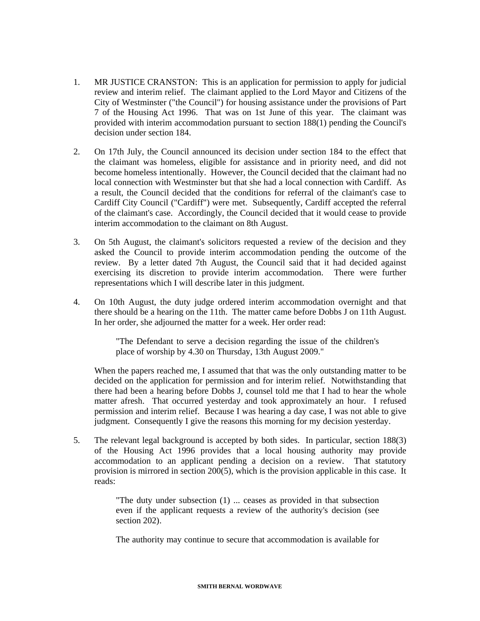- 1. MR JUSTICE CRANSTON: This is an application for permission to apply for judicial review and interim relief. The claimant applied to the Lord Mayor and Citizens of the City of Westminster ("the Council") for housing assistance under the provisions of Part 7 of the Housing Act 1996. That was on 1st June of this year. The claimant was provided with interim accommodation pursuant to section 188(1) pending the Council's decision under section 184.
- 2. On 17th July, the Council announced its decision under section 184 to the effect that the claimant was homeless, eligible for assistance and in priority need, and did not become homeless intentionally. However, the Council decided that the claimant had no local connection with Westminster but that she had a local connection with Cardiff. As a result, the Council decided that the conditions for referral of the claimant's case to Cardiff City Council ("Cardiff") were met. Subsequently, Cardiff accepted the referral of the claimant's case. Accordingly, the Council decided that it would cease to provide interim accommodation to the claimant on 8th August.
- 3. On 5th August, the claimant's solicitors requested a review of the decision and they asked the Council to provide interim accommodation pending the outcome of the review. By a letter dated 7th August, the Council said that it had decided against exercising its discretion to provide interim accommodation. There were further representations which I will describe later in this judgment.
- 4. On 10th August, the duty judge ordered interim accommodation overnight and that there should be a hearing on the 11th. The matter came before Dobbs J on 11th August. In her order, she adjourned the matter for a week. Her order read:

"The Defendant to serve a decision regarding the issue of the children's place of worship by 4.30 on Thursday, 13th August 2009."

When the papers reached me, I assumed that that was the only outstanding matter to be decided on the application for permission and for interim relief. Notwithstanding that there had been a hearing before Dobbs J, counsel told me that I had to hear the whole matter afresh. That occurred yesterday and took approximately an hour. I refused permission and interim relief. Because I was hearing a day case, I was not able to give judgment. Consequently I give the reasons this morning for my decision yesterday.

5. The relevant legal background is accepted by both sides. In particular, section 188(3) of the Housing Act 1996 provides that a local housing authority may provide accommodation to an applicant pending a decision on a review. That statutory provision is mirrored in section 200(5), which is the provision applicable in this case. It reads:

> "The duty under subsection (1) ... ceases as provided in that subsection even if the applicant requests a review of the authority's decision (see section 202).

> The authority may continue to secure that accommodation is available for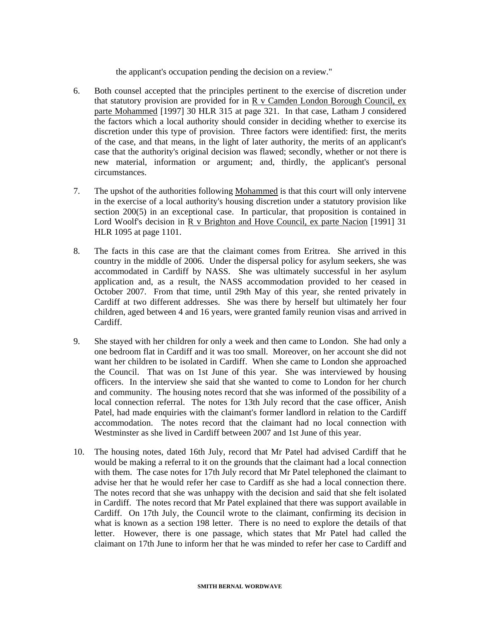the applicant's occupation pending the decision on a review."

- 6. Both counsel accepted that the principles pertinent to the exercise of discretion under that statutory provision are provided for in R v Camden London Borough Council, ex parte Mohammed [1997] 30 HLR 315 at page 321. In that case, Latham J considered the factors which a local authority should consider in deciding whether to exercise its discretion under this type of provision. Three factors were identified: first, the merits of the case, and that means, in the light of later authority, the merits of an applicant's case that the authority's original decision was flawed; secondly, whether or not there is new material, information or argument; and, thirdly, the applicant's personal circumstances.
- 7. The upshot of the authorities following Mohammed is that this court will only intervene in the exercise of a local authority's housing discretion under a statutory provision like section 200(5) in an exceptional case. In particular, that proposition is contained in Lord Woolf's decision in R v Brighton and Hove Council, ex parte Nacion [1991] 31 HLR 1095 at page 1101.
- 8. The facts in this case are that the claimant comes from Eritrea. She arrived in this country in the middle of 2006. Under the dispersal policy for asylum seekers, she was accommodated in Cardiff by NASS. She was ultimately successful in her asylum application and, as a result, the NASS accommodation provided to her ceased in October 2007. From that time, until 29th May of this year, she rented privately in Cardiff at two different addresses. She was there by herself but ultimately her four children, aged between 4 and 16 years, were granted family reunion visas and arrived in Cardiff.
- 9. She stayed with her children for only a week and then came to London. She had only a one bedroom flat in Cardiff and it was too small. Moreover, on her account she did not want her children to be isolated in Cardiff. When she came to London she approached the Council. That was on 1st June of this year. She was interviewed by housing officers. In the interview she said that she wanted to come to London for her church and community. The housing notes record that she was informed of the possibility of a local connection referral. The notes for 13th July record that the case officer, Anish Patel, had made enquiries with the claimant's former landlord in relation to the Cardiff accommodation. The notes record that the claimant had no local connection with Westminster as she lived in Cardiff between 2007 and 1st June of this year.
- 10. The housing notes, dated 16th July, record that Mr Patel had advised Cardiff that he would be making a referral to it on the grounds that the claimant had a local connection with them. The case notes for 17th July record that Mr Patel telephoned the claimant to advise her that he would refer her case to Cardiff as she had a local connection there. The notes record that she was unhappy with the decision and said that she felt isolated in Cardiff. The notes record that Mr Patel explained that there was support available in Cardiff. On 17th July, the Council wrote to the claimant, confirming its decision in what is known as a section 198 letter. There is no need to explore the details of that letter. However, there is one passage, which states that Mr Patel had called the claimant on 17th June to inform her that he was minded to refer her case to Cardiff and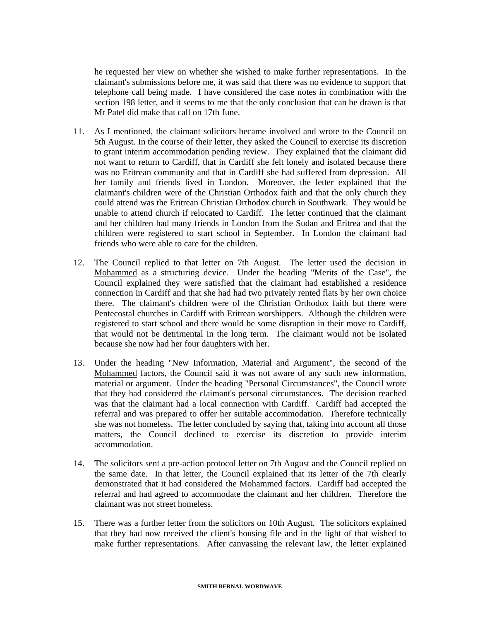he requested her view on whether she wished to make further representations. In the claimant's submissions before me, it was said that there was no evidence to support that telephone call being made. I have considered the case notes in combination with the section 198 letter, and it seems to me that the only conclusion that can be drawn is that Mr Patel did make that call on 17th June.

- 11. As I mentioned, the claimant solicitors became involved and wrote to the Council on 5th August. In the course of their letter, they asked the Council to exercise its discretion to grant interim accommodation pending review. They explained that the claimant did not want to return to Cardiff, that in Cardiff she felt lonely and isolated because there was no Eritrean community and that in Cardiff she had suffered from depression. All her family and friends lived in London. Moreover, the letter explained that the claimant's children were of the Christian Orthodox faith and that the only church they could attend was the Eritrean Christian Orthodox church in Southwark. They would be unable to attend church if relocated to Cardiff. The letter continued that the claimant and her children had many friends in London from the Sudan and Eritrea and that the children were registered to start school in September. In London the claimant had friends who were able to care for the children.
- 12. The Council replied to that letter on 7th August. The letter used the decision in Mohammed as a structuring device. Under the heading "Merits of the Case", the Council explained they were satisfied that the claimant had established a residence connection in Cardiff and that she had had two privately rented flats by her own choice there. The claimant's children were of the Christian Orthodox faith but there were Pentecostal churches in Cardiff with Eritrean worshippers. Although the children were registered to start school and there would be some disruption in their move to Cardiff, that would not be detrimental in the long term. The claimant would not be isolated because she now had her four daughters with her.
- 13. Under the heading "New Information, Material and Argument", the second of the Mohammed factors, the Council said it was not aware of any such new information, material or argument. Under the heading "Personal Circumstances", the Council wrote that they had considered the claimant's personal circumstances. The decision reached was that the claimant had a local connection with Cardiff. Cardiff had accepted the referral and was prepared to offer her suitable accommodation. Therefore technically she was not homeless. The letter concluded by saying that, taking into account all those matters, the Council declined to exercise its discretion to provide interim accommodation.
- 14. The solicitors sent a pre-action protocol letter on 7th August and the Council replied on the same date. In that letter, the Council explained that its letter of the 7th clearly demonstrated that it had considered the Mohammed factors. Cardiff had accepted the referral and had agreed to accommodate the claimant and her children. Therefore the claimant was not street homeless.
- 15. There was a further letter from the solicitors on 10th August. The solicitors explained that they had now received the client's housing file and in the light of that wished to make further representations. After canvassing the relevant law, the letter explained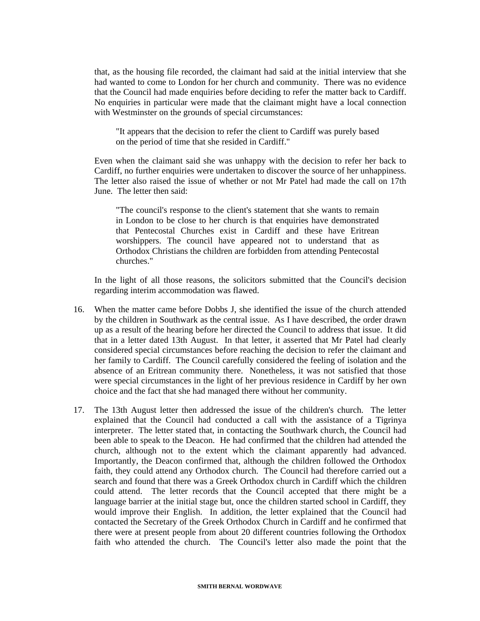that, as the housing file recorded, the claimant had said at the initial interview that she had wanted to come to London for her church and community. There was no evidence that the Council had made enquiries before deciding to refer the matter back to Cardiff. No enquiries in particular were made that the claimant might have a local connection with Westminster on the grounds of special circumstances:

"It appears that the decision to refer the client to Cardiff was purely based on the period of time that she resided in Cardiff."

Even when the claimant said she was unhappy with the decision to refer her back to Cardiff, no further enquiries were undertaken to discover the source of her unhappiness. The letter also raised the issue of whether or not Mr Patel had made the call on 17th June. The letter then said:

"The council's response to the client's statement that she wants to remain in London to be close to her church is that enquiries have demonstrated that Pentecostal Churches exist in Cardiff and these have Eritrean worshippers. The council have appeared not to understand that as Orthodox Christians the children are forbidden from attending Pentecostal churches."

In the light of all those reasons, the solicitors submitted that the Council's decision regarding interim accommodation was flawed.

- 16. When the matter came before Dobbs J, she identified the issue of the church attended by the children in Southwark as the central issue. As I have described, the order drawn up as a result of the hearing before her directed the Council to address that issue. It did that in a letter dated 13th August. In that letter, it asserted that Mr Patel had clearly considered special circumstances before reaching the decision to refer the claimant and her family to Cardiff. The Council carefully considered the feeling of isolation and the absence of an Eritrean community there. Nonetheless, it was not satisfied that those were special circumstances in the light of her previous residence in Cardiff by her own choice and the fact that she had managed there without her community.
- 17. The 13th August letter then addressed the issue of the children's church. The letter explained that the Council had conducted a call with the assistance of a Tigrinya interpreter. The letter stated that, in contacting the Southwark church, the Council had been able to speak to the Deacon. He had confirmed that the children had attended the church, although not to the extent which the claimant apparently had advanced. Importantly, the Deacon confirmed that, although the children followed the Orthodox faith, they could attend any Orthodox church. The Council had therefore carried out a search and found that there was a Greek Orthodox church in Cardiff which the children could attend. The letter records that the Council accepted that there might be a language barrier at the initial stage but, once the children started school in Cardiff, they would improve their English. In addition, the letter explained that the Council had contacted the Secretary of the Greek Orthodox Church in Cardiff and he confirmed that there were at present people from about 20 different countries following the Orthodox faith who attended the church. The Council's letter also made the point that the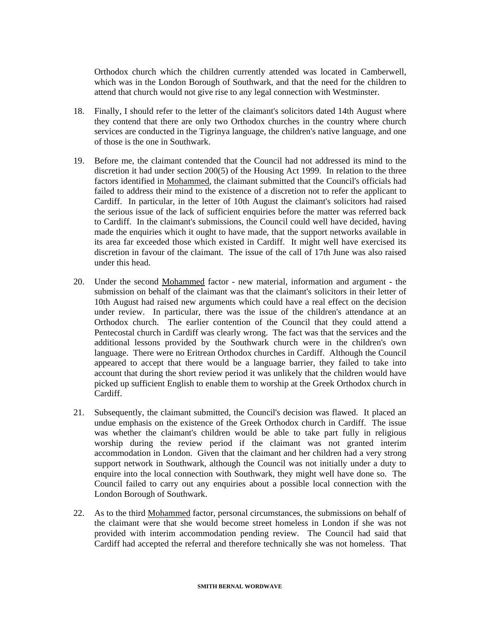Orthodox church which the children currently attended was located in Camberwell, which was in the London Borough of Southwark, and that the need for the children to attend that church would not give rise to any legal connection with Westminster.

- 18. Finally, I should refer to the letter of the claimant's solicitors dated 14th August where they contend that there are only two Orthodox churches in the country where church services are conducted in the Tigrinya language, the children's native language, and one of those is the one in Southwark.
- 19. Before me, the claimant contended that the Council had not addressed its mind to the discretion it had under section 200(5) of the Housing Act 1999. In relation to the three factors identified in Mohammed, the claimant submitted that the Council's officials had failed to address their mind to the existence of a discretion not to refer the applicant to Cardiff. In particular, in the letter of 10th August the claimant's solicitors had raised the serious issue of the lack of sufficient enquiries before the matter was referred back to Cardiff. In the claimant's submissions, the Council could well have decided, having made the enquiries which it ought to have made, that the support networks available in its area far exceeded those which existed in Cardiff. It might well have exercised its discretion in favour of the claimant. The issue of the call of 17th June was also raised under this head.
- 20. Under the second Mohammed factor new material, information and argument the submission on behalf of the claimant was that the claimant's solicitors in their letter of 10th August had raised new arguments which could have a real effect on the decision under review. In particular, there was the issue of the children's attendance at an Orthodox church. The earlier contention of the Council that they could attend a Pentecostal church in Cardiff was clearly wrong. The fact was that the services and the additional lessons provided by the Southwark church were in the children's own language. There were no Eritrean Orthodox churches in Cardiff. Although the Council appeared to accept that there would be a language barrier, they failed to take into account that during the short review period it was unlikely that the children would have picked up sufficient English to enable them to worship at the Greek Orthodox church in Cardiff.
- 21. Subsequently, the claimant submitted, the Council's decision was flawed. It placed an undue emphasis on the existence of the Greek Orthodox church in Cardiff. The issue was whether the claimant's children would be able to take part fully in religious worship during the review period if the claimant was not granted interim accommodation in London. Given that the claimant and her children had a very strong support network in Southwark, although the Council was not initially under a duty to enquire into the local connection with Southwark, they might well have done so. The Council failed to carry out any enquiries about a possible local connection with the London Borough of Southwark.
- 22. As to the third Mohammed factor, personal circumstances, the submissions on behalf of the claimant were that she would become street homeless in London if she was not provided with interim accommodation pending review. The Council had said that Cardiff had accepted the referral and therefore technically she was not homeless. That